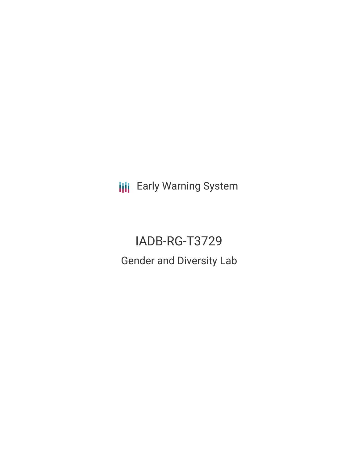**III** Early Warning System

IADB-RG-T3729 Gender and Diversity Lab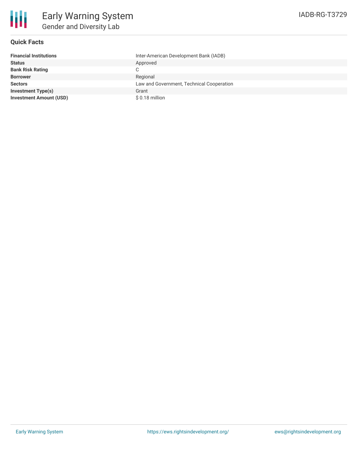

# **Quick Facts**

| <b>Financial Institutions</b>  | Inter-American Development Bank (IADB)    |
|--------------------------------|-------------------------------------------|
| <b>Status</b>                  | Approved                                  |
| <b>Bank Risk Rating</b>        | С                                         |
| <b>Borrower</b>                | Regional                                  |
| <b>Sectors</b>                 | Law and Government, Technical Cooperation |
| <b>Investment Type(s)</b>      | Grant                                     |
| <b>Investment Amount (USD)</b> | \$0.18 million                            |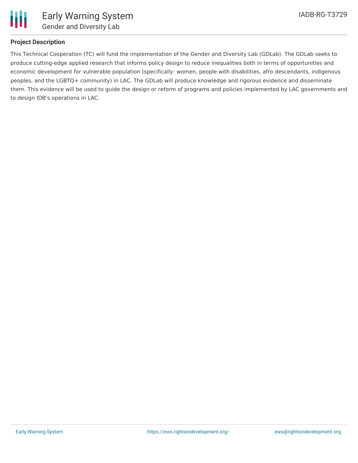

# **Project Description**

This Technical Cooperation (TC) will fund the implementation of the Gender and Diversity Lab (GDLab). The GDLab seeks to produce cutting-edge applied research that informs policy design to reduce inequalities both in terms of opportunities and economic development for vulnerable population (specifically: women, people with disabilities, afro descendants, indigenous peoples, and the LGBTQ+ community) in LAC. The GDLab will produce knowledge and rigorous evidence and disseminate them. This evidence will be used to guide the design or reform of programs and policies implemented by LAC governments and to design IDB's operations in LAC.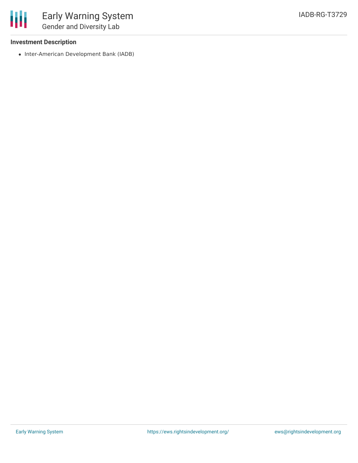### **Investment Description**

• Inter-American Development Bank (IADB)